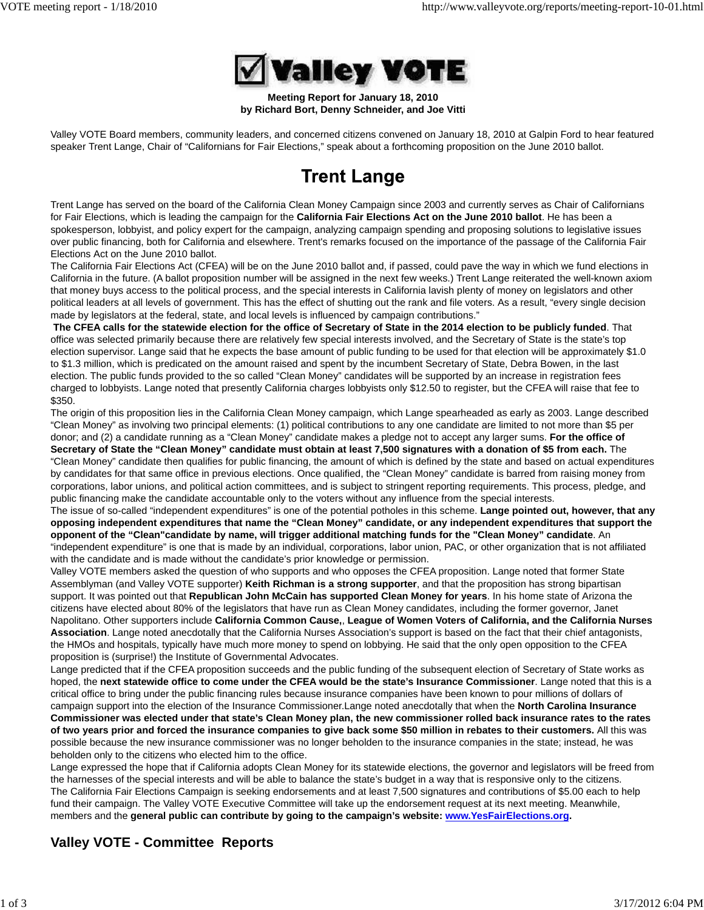

**Meeting Report for January 18, 2010 by Richard Bort, Denny Schneider, and Joe Vitti**

Valley VOTE Board members, community leaders, and concerned citizens convened on January 18, 2010 at Galpin Ford to hear featured speaker Trent Lange, Chair of "Californians for Fair Elections," speak about a forthcoming proposition on the June 2010 ballot.

# **Trent Lange**

Trent Lange has served on the board of the California Clean Money Campaign since 2003 and currently serves as Chair of Californians for Fair Elections, which is leading the campaign for the **California Fair Elections Act on the June 2010 ballot**. He has been a spokesperson, lobbyist, and policy expert for the campaign, analyzing campaign spending and proposing solutions to legislative issues over public financing, both for California and elsewhere. Trent's remarks focused on the importance of the passage of the California Fair Elections Act on the June 2010 ballot.

The California Fair Elections Act (CFEA) will be on the June 2010 ballot and, if passed, could pave the way in which we fund elections in California in the future. (A ballot proposition number will be assigned in the next few weeks.) Trent Lange reiterated the well-known axiom that money buys access to the political process, and the special interests in California lavish plenty of money on legislators and other political leaders at all levels of government. This has the effect of shutting out the rank and file voters. As a result, "every single decision made by legislators at the federal, state, and local levels is influenced by campaign contributions."

**The CFEA calls for the statewide election for the office of Secretary of State in the 2014 election to be publicly funded**. That office was selected primarily because there are relatively few special interests involved, and the Secretary of State is the state's top election supervisor. Lange said that he expects the base amount of public funding to be used for that election will be approximately \$1.0 to \$1.3 million, which is predicated on the amount raised and spent by the incumbent Secretary of State, Debra Bowen, in the last election. The public funds provided to the so called "Clean Money" candidates will be supported by an increase in registration fees charged to lobbyists. Lange noted that presently California charges lobbyists only \$12.50 to register, but the CFEA will raise that fee to \$350.

The origin of this proposition lies in the California Clean Money campaign, which Lange spearheaded as early as 2003. Lange described "Clean Money" as involving two principal elements: (1) political contributions to any one candidate are limited to not more than \$5 per donor; and (2) a candidate running as a "Clean Money" candidate makes a pledge not to accept any larger sums. **For the office of Secretary of State the "Clean Money" candidate must obtain at least 7,500 signatures with a donation of \$5 from each.** The "Clean Money" candidate then qualifies for public financing, the amount of which is defined by the state and based on actual expenditures by candidates for that same office in previous elections. Once qualified, the "Clean Money" candidate is barred from raising money from

corporations, labor unions, and political action committees, and is subject to stringent reporting requirements. This process, pledge, and public financing make the candidate accountable only to the voters without any influence from the special interests. The issue of so-called "independent expenditures" is one of the potential potholes in this scheme. **Lange pointed out, however, that any**

**opposing independent expenditures that name the "Clean Money" candidate, or any independent expenditures that support the opponent of the "Clean"candidate by name, will trigger additional matching funds for the "Clean Money" candidate**. An "independent expenditure" is one that is made by an individual, corporations, labor union, PAC, or other organization that is not affiliated with the candidate and is made without the candidate's prior knowledge or permission.

Valley VOTE members asked the question of who supports and who opposes the CFEA proposition. Lange noted that former State Assemblyman (and Valley VOTE supporter) **Keith Richman is a strong supporter**, and that the proposition has strong bipartisan support. It was pointed out that **Republican John McCain has supported Clean Money for years**. In his home state of Arizona the citizens have elected about 80% of the legislators that have run as Clean Money candidates, including the former governor, Janet Napolitano. Other supporters include **California Common Cause,**, **League of Women Voters of California, and the California Nurses Association**. Lange noted anecdotally that the California Nurses Association's support is based on the fact that their chief antagonists, the HMOs and hospitals, typically have much more money to spend on lobbying. He said that the only open opposition to the CFEA proposition is (surprise!) the Institute of Governmental Advocates.

Lange predicted that if the CFEA proposition succeeds and the public funding of the subsequent election of Secretary of State works as hoped, the **next statewide office to come under the CFEA would be the state's Insurance Commissioner**. Lange noted that this is a critical office to bring under the public financing rules because insurance companies have been known to pour millions of dollars of campaign support into the election of the Insurance Commissioner.Lange noted anecdotally that when the **North Carolina Insurance Commissioner was elected under that state's Clean Money plan, the new commissioner rolled back insurance rates to the rates of two years prior and forced the insurance companies to give back some \$50 million in rebates to their customers.** All this was possible because the new insurance commissioner was no longer beholden to the insurance companies in the state; instead, he was beholden only to the citizens who elected him to the office.

Lange expressed the hope that if California adopts Clean Money for its statewide elections, the governor and legislators will be freed from the harnesses of the special interests and will be able to balance the state's budget in a way that is responsive only to the citizens. The California Fair Elections Campaign is seeking endorsements and at least 7,500 signatures and contributions of \$5.00 each to help fund their campaign. The Valley VOTE Executive Committee will take up the endorsement request at its next meeting. Meanwhile, members and the **general public can contribute by going to the campaign's website: www.YesFairElections.org.**

# **Valley VOTE - Committee Reports**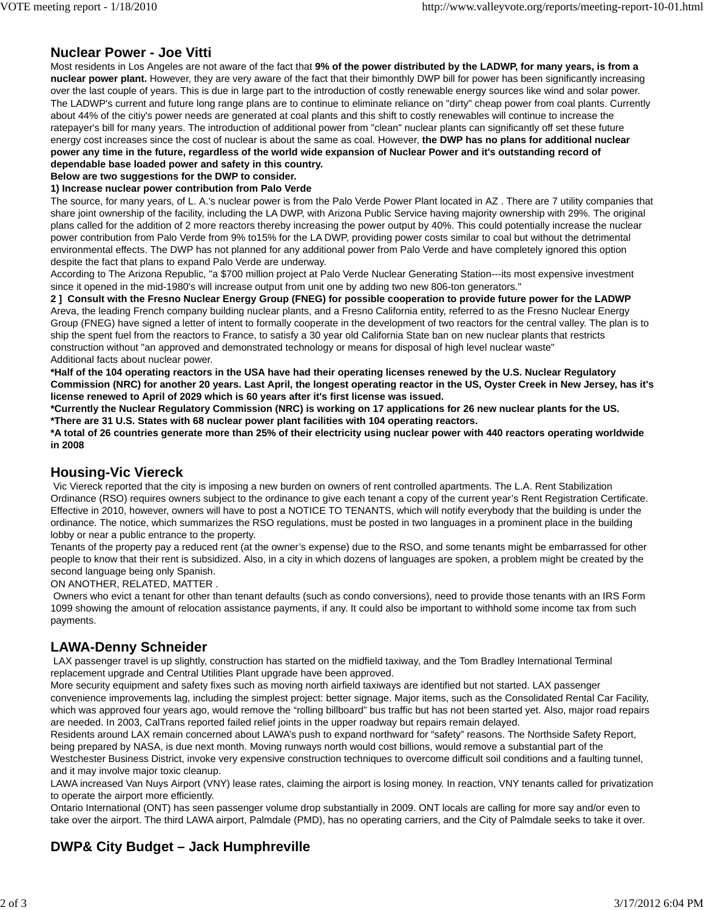## **Nuclear Power - Joe Vitti**

Most residents in Los Angeles are not aware of the fact that **9% of the power distributed by the LADWP, for many years, is from a nuclear power plant.** However, they are very aware of the fact that their bimonthly DWP bill for power has been significantly increasing over the last couple of years. This is due in large part to the introduction of costly renewable energy sources like wind and solar power. The LADWP's current and future long range plans are to continue to eliminate reliance on "dirty" cheap power from coal plants. Currently about 44% of the citiy's power needs are generated at coal plants and this shift to costly renewables will continue to increase the ratepayer's bill for many years. The introduction of additional power from "clean" nuclear plants can significantly off set these future energy cost increases since the cost of nuclear is about the same as coal. However, **the DWP has no plans for additional nuclear power any time in the future, regardless of the world wide expansion of Nuclear Power and it's outstanding record of dependable base loaded power and safety in this country.**

**Below are two suggestions for the DWP to consider.**

### **1) Increase nuclear power contribution from Palo Verde**

The source, for many years, of L. A.'s nuclear power is from the Palo Verde Power Plant located in AZ . There are 7 utility companies that share joint ownership of the facility, including the LA DWP, with Arizona Public Service having majority ownership with 29%. The original plans called for the addition of 2 more reactors thereby increasing the power output by 40%. This could potentially increase the nuclear power contribution from Palo Verde from 9% to15% for the LA DWP, providing power costs similar to coal but without the detrimental environmental effects. The DWP has not planned for any additional power from Palo Verde and have completely ignored this option despite the fact that plans to expand Palo Verde are underway.

According to The Arizona Republic, "a \$700 million project at Palo Verde Nuclear Generating Station---its most expensive investment since it opened in the mid-1980's will increase output from unit one by adding two new 806-ton generators."

**2 ] Consult with the Fresno Nuclear Energy Group (FNEG) for possible cooperation to provide future power for the LADWP** Areva, the leading French company building nuclear plants, and a Fresno California entity, referred to as the Fresno Nuclear Energy Group (FNEG) have signed a letter of intent to formally cooperate in the development of two reactors for the central valley. The plan is to ship the spent fuel from the reactors to France, to satisfy a 30 year old California State ban on new nuclear plants that restricts construction without "an approved and demonstrated technology or means for disposal of high level nuclear waste" Additional facts about nuclear power.

**\*Half of the 104 operating reactors in the USA have had their operating licenses renewed by the U.S. Nuclear Regulatory Commission (NRC) for another 20 years. Last April, the longest operating reactor in the US, Oyster Creek in New Jersey, has it's license renewed to April of 2029 which is 60 years after it's first license was issued.**

**\*Currently the Nuclear Regulatory Commission (NRC) is working on 17 applications for 26 new nuclear plants for the US. \*There are 31 U.S. States with 68 nuclear power plant facilities with 104 operating reactors.**

**\*A total of 26 countries generate more than 25% of their electricity using nuclear power with 440 reactors operating worldwide in 2008**

### **Housing-Vic Viereck**

 Vic Viereck reported that the city is imposing a new burden on owners of rent controlled apartments. The L.A. Rent Stabilization Ordinance (RSO) requires owners subject to the ordinance to give each tenant a copy of the current year's Rent Registration Certificate. Effective in 2010, however, owners will have to post a NOTICE TO TENANTS, which will notify everybody that the building is under the ordinance. The notice, which summarizes the RSO regulations, must be posted in two languages in a prominent place in the building lobby or near a public entrance to the property.

Tenants of the property pay a reduced rent (at the owner's expense) due to the RSO, and some tenants might be embarrassed for other people to know that their rent is subsidized. Also, in a city in which dozens of languages are spoken, a problem might be created by the second language being only Spanish.

#### ON ANOTHER, RELATED, MATTER .

 Owners who evict a tenant for other than tenant defaults (such as condo conversions), need to provide those tenants with an IRS Form 1099 showing the amount of relocation assistance payments, if any. It could also be important to withhold some income tax from such payments.

### **LAWA-Denny Schneider**

 LAX passenger travel is up slightly, construction has started on the midfield taxiway, and the Tom Bradley International Terminal replacement upgrade and Central Utilities Plant upgrade have been approved.

More security equipment and safety fixes such as moving north airfield taxiways are identified but not started. LAX passenger convenience improvements lag, including the simplest project: better signage. Major items, such as the Consolidated Rental Car Facility, which was approved four years ago, would remove the "rolling billboard" bus traffic but has not been started yet. Also, major road repairs are needed. In 2003, CalTrans reported failed relief joints in the upper roadway but repairs remain delayed.

Residents around LAX remain concerned about LAWA's push to expand northward for "safety" reasons. The Northside Safety Report, being prepared by NASA, is due next month. Moving runways north would cost billions, would remove a substantial part of the Westchester Business District, invoke very expensive construction techniques to overcome difficult soil conditions and a faulting tunnel, and it may involve major toxic cleanup.

LAWA increased Van Nuys Airport (VNY) lease rates, claiming the airport is losing money. In reaction, VNY tenants called for privatization to operate the airport more efficiently.

Ontario International (ONT) has seen passenger volume drop substantially in 2009. ONT locals are calling for more say and/or even to take over the airport. The third LAWA airport, Palmdale (PMD), has no operating carriers, and the City of Palmdale seeks to take it over.

# **DWP& City Budget – Jack Humphreville**